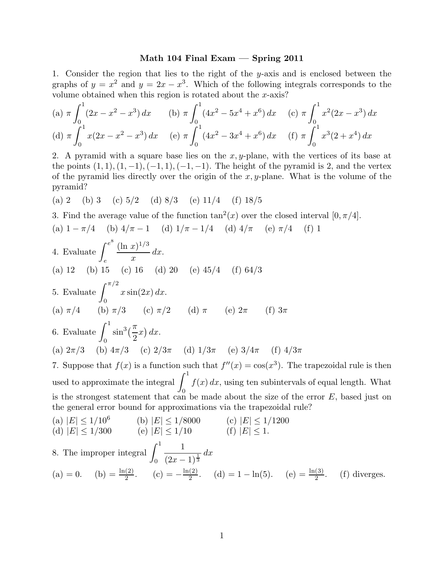## Math 104 Final Exam — Spring 2011

1. Consider the region that lies to the right of the y-axis and is enclosed between the graphs of  $y = x^2$  and  $y = 2x - x^3$ . Which of the following integrals corresponds to the volume obtained when this region is rotated about the x-axis?

(a) 
$$
\pi \int_0^1 (2x - x^2 - x^3) dx
$$
 (b)  $\pi \int_0^1 (4x^2 - 5x^4 + x^6) dx$  (c)  $\pi \int_0^1 x^2 (2x - x^3) dx$   
(d)  $\pi \int_0^1 x (2x - x^2 - x^3) dx$  (e)  $\pi \int_0^1 (4x^2 - 3x^4 + x^6) dx$  (f)  $\pi \int_0^1 x^3 (2 + x^4) dx$ 

2. A pyramid with a square base lies on the  $x, y$ -plane, with the vertices of its base at the points  $(1, 1), (1, -1), (-1, 1), (-1, -1)$ . The height of the pyramid is 2, and the vertex of the pyramid lies directly over the origin of the  $x, y$ -plane. What is the volume of the pyramid?

(a) 2 (b) 3 (c) 
$$
5/2
$$
 (d)  $8/3$  (e)  $11/4$  (f)  $18/5$ 

3. Find the average value of the function  $tan^2(x)$  over the closed interval  $[0, \pi/4]$ .

(a) 
$$
1 - \pi/4
$$
 (b)  $4/\pi - 1$  (d)  $1/\pi - 1/4$  (d)  $4/\pi$  (e)  $\pi/4$  (f) 1

4. Evaluate 
$$
\int_{e}^{e^{8}} \frac{(\ln x)^{1/3}}{x} dx
$$
.  
\n(a) 12 (b) 15 (c) 16 (d) 20 (e) 45/4 (f) 64/3  
\n5. Evaluate  $\int_{0}^{\pi/2} x \sin(2x) dx$ .  
\n(a)  $\pi/4$  (b)  $\pi/3$  (c)  $\pi/2$  (d)  $\pi$  (e)  $2\pi$  (f)  $3\pi$   
\n6. Evaluate  $\int_{0}^{1} \sin^{3}(\frac{\pi}{2}x) dx$ .  
\n(a)  $2\pi/3$  (b)  $4\pi/3$  (c)  $2/3\pi$  (d)  $1/3\pi$  (e)  $3/4\pi$  (f)  $4/3\pi$ 

7. Suppose that  $f(x)$  is a function such that  $f''(x) = \cos(x^3)$ . The trapezoidal rule is then used to approximate the integral  $\int_1^1$ 0  $f(x) dx$ , using ten subintervals of equal length. What is the strongest statement that can be made about the size of the error  $E$ , based just on the general error bound for approximations via the trapezoidal rule?  $(115)$   $(106)$ 

(a) 
$$
|E| \le 1/10^6
$$
 (b)  $|E| \le 1/8000$  (c)  $|E| \le 1/1200$   
\n(d)  $|E| \le 1/300$  (e)  $|E| \le 1/10$  (f)  $|E| \le 1$ .  
\n8. The improper integral  $\int_0^1 \frac{1}{(2x-1)^{\frac{1}{3}}} dx$   
\n(a) = 0. (b) =  $\frac{\ln(2)}{2}$ . (c) =  $-\frac{\ln(2)}{2}$ . (d) = 1 - ln(5). (e) =  $\frac{\ln(3)}{2}$ . (f) diverges.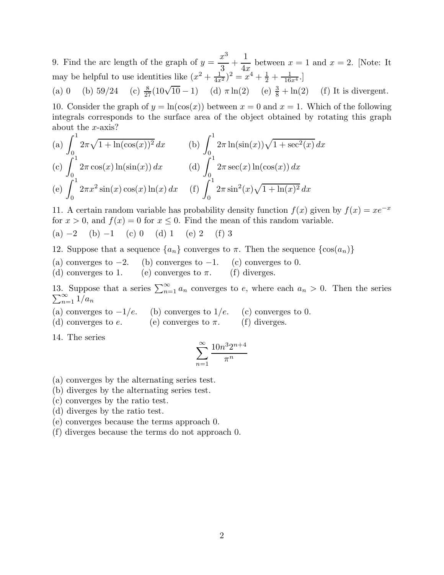9. Find the arc length of the graph of  $y =$  $x^3$ 3  $+$ 1  $4x$ between  $x = 1$  and  $x = 2$ . [Note: It may be helpful to use identities like  $(x^2 + \frac{1}{4x^2})^2 = x^4 + \frac{1}{2} + \frac{1}{16x^4}$ .

(a) 0 (b)  $59/24$  $\frac{8}{27}(10\sqrt{10}-1)$  (d)  $\pi \ln(2)$  (e)  $\frac{3}{8}$  $(f)$  It is divergent.

10. Consider the graph of  $y = \ln(\cos(x))$  between  $x = 0$  and  $x = 1$ . Which of the following integrals corresponds to the surface area of the object obtained by rotating this graph about the x-axis?

(a) 
$$
\int_0^1 2\pi \sqrt{1 + \ln(\cos(x))^2} dx
$$
  
\n(b)  $\int_0^1 2\pi \ln(\sin(x)) \sqrt{1 + \sec^2(x)} dx$   
\n(c)  $\int_0^1 2\pi \cos(x) \ln(\sin(x)) dx$   
\n(d)  $\int_0^1 2\pi \sec(x) \ln(\cos(x)) dx$   
\n(e)  $\int_0^1 2\pi x^2 \sin(x) \cos(x) \ln(x) dx$   
\n(f)  $\int_0^1 2\pi \sin^2(x) \sqrt{1 + \ln(x)^2} dx$ 

11. A certain random variable has probability density function  $f(x)$  given by  $f(x) = xe^{-x}$ for  $x > 0$ , and  $f(x) = 0$  for  $x \le 0$ . Find the mean of this random variable.

(a)  $-2$  (b)  $-1$  (c) 0 (d) 1 (e) 2 (f) 3

12. Suppose that a sequence  $\{a_n\}$  converges to  $\pi$ . Then the sequence  $\{\cos(a_n)\}\$ 

- (a) converges to  $-2$ . (b) converges to  $-1$ . (c) converges to 0.<br>(d) converges to 1. (e) converges to  $\pi$ . (f) diverges.
- (e) converges to  $\pi$ .

13. Suppose that a series  $\sum_{n=1}^{\infty} \sum_{n=1}^{\infty} 1/a_n$ . Suppose that a series  $\sum_{n=1}^{\infty} a_n$  converges to e, where each  $a_n > 0$ . Then the series  $\sum_{n=1}^{\infty} 1/a_n$ 

- (a) converges to  $-1/e$ . (b) converges to  $1/e$ . (c) converges to 0.<br>(d) converges to e. (e) converges to  $\pi$ . (f) diverges.
- (e) converges to  $\pi$ .

14. The series

$$
\sum_{n=1}^{\infty} \frac{10n^3 2^{n+4}}{\pi^n}
$$

- (a) converges by the alternating series test.
- (b) diverges by the alternating series test.
- (c) converges by the ratio test.
- (d) diverges by the ratio test.
- (e) converges because the terms approach 0.
- (f) diverges because the terms do not approach 0.